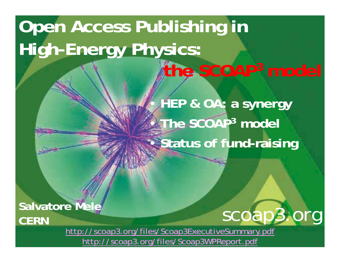# **Open Access Publishing in High-Energy Physics: the SCOAP3 model**

r. **HEP & OA: a synergy**  • **The SCOAP 3 model** •**• Status of fund-raising** 

**Salvatore Mele CERN**



<http://scoap3.org/files/Scoap3ExecutiveSummary.pdf> [http://scoap3.org/files/Scoap3WPReport.pdf](http://cern.ch/oa/Scoap3WPReport.pdf)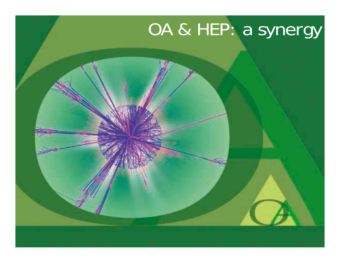# OA & HEP: a synergy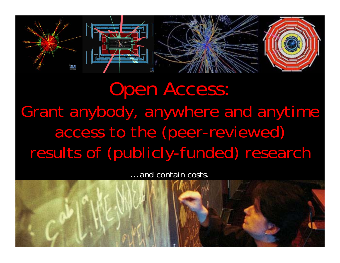



# Open Access: Grant anybody, anywhere and anytime access to the (peer-reviewed) results of (publicly-funded) research

...and contain costs.

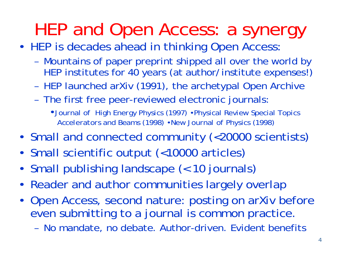## HEP and Open Access: a synergy

- HEP is decades ahead in thinking Open Access:
	- Mountains of paper preprint shipped all over the world by HEP institutes for 40 years (at author/institute expenses!)
	- HEP launched arXiv (1991), the archetypal Open Archive
	- The first free peer-reviewed electronic journals:

•*Journal of High Energy Physics* (1997) •*Physical Review Special Topics Accelerators and Beams* (1998) •*New Journal of Physics* (1998)

- •Small and connected community (<20000 scientists)
- •Small scientific output (<10000 articles)
- •Small publishing landscape (< 10 journals)
- Reader and author communities largely overlap
- Open Access, second nature: posting on arXiv before even submitting to a journal is common practice.
	- No mandate, no debate. Author-driven. Evident benefits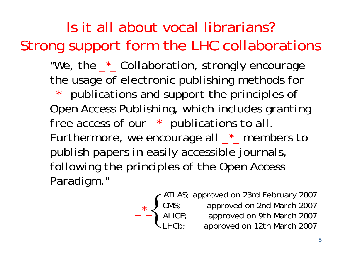#### Is it all about vocal librarians? Strong support form the LHC collaborations

*"We, the \_\*\_ Collaboration, strongly encourage the usage of electronic publishing methods for* 

*\_\*\_ publications and support the principles of Open Access Publishing, which includes granting free access of our \_\*\_ publications to all. Furthermore, we encourage all \_\*\_ members to publish papers in easily accessible journals, following the principles of the Open Access Paradigm.* "

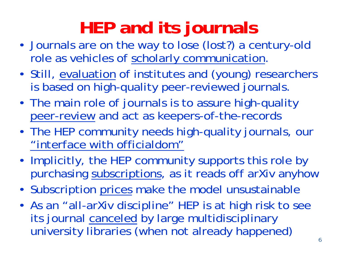# **HEP and its journals**

- • Journals are on the way to lose (lost?) a century-old role as vehicles of scholarly communication.
- •• Still, evaluation of institutes and (young) researchers is based on high-quality peer-reviewed journals.
- The main role of journals is to assure high-quality peer-review and act as keepers-of-the-records
- The HEP community needs high-quality journals, our "interface with officialdom"
- Implicitly, the HEP community supports this role by purchasing subscriptions, as it reads off arXiv anyhow
- Subscription prices make the model unsustainable
- As an "all-arXiv discipline" HEP is at high risk to see its journal canceled by large multidisciplinary university libraries (when not already happened)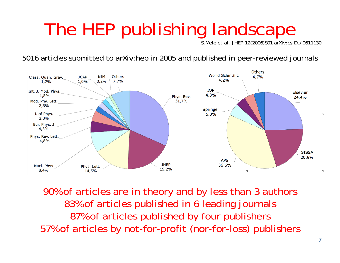# The HEP publishing landscape

S.Mele *et al.* JHEP 12(2006)S01 arXiv:cs.DL/0611130

5016 articles submitted to arXiv:hep in 2005 and published in peer-reviewed journals



90% of articles are in theory and by less than 3 authors 83% of articles published in 6 leading journals 87% of articles published by four publishers 57% of articles by not-for-profit (nor-for-loss) publishers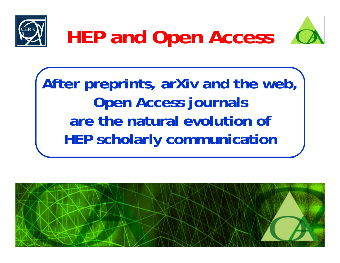





**After preprints, arXiv and the web, Open Access journals are the natural evolution ofHEP scholarly communication**

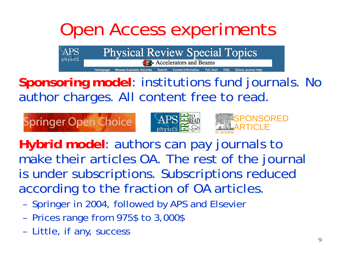# Open Access experiments

**Physical Review Special Topics** 

**Accelerators and Beams** 

**Contact Information ToC Alert Sponsoring model**: institutions fund journals. No author charges. All content free to read.



**Hybrid model**: authors can pay journals to make their articles OA. The rest of the journal is under subscriptions. Subscriptions reduced according to the fraction of OA articles.

- Springer in 2004, followed by APS and Elsevier
- Prices range from 975\$ to 3,000\$
- Little, if any, success

APS

physics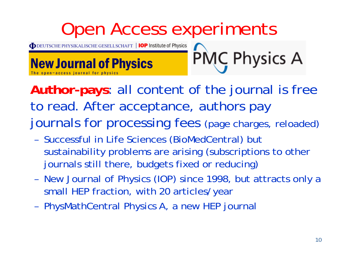

**Author-pays**: all content of the journal is free to read. After acceptance, authors pay journals for processing fees (page charges, reloaded)

- Successful in Life Sciences (BioMedCentral) but sustainability problems are arising (subscriptions to other journals still there, budgets fixed or reducing)
- *New Journal of Physics* (IOP) since 1998, but attracts only a small HEP fraction, with 20 articles/year
- PhysMathCentral *Physics A*, a new HEP journal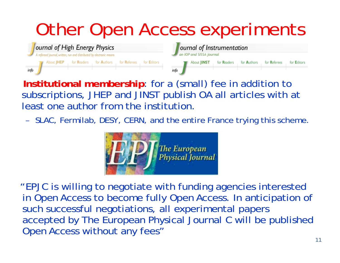# Other Open Access experiments



- **Institutional membership**: for a (small) fee in addition to subscriptions, JHEP and JINST publish OA all articles with at least one author from the institution.
- SLAC, Fermilab, DESY, CERN, and the entire France trying this scheme.



"EPJC is willing to negotiate with funding agencies interested in Open Access to become fully Open Access. In anticipation of such successful negotiations, all experimental papers accepted by The European Physical Journal C will be published Open Access without any fees"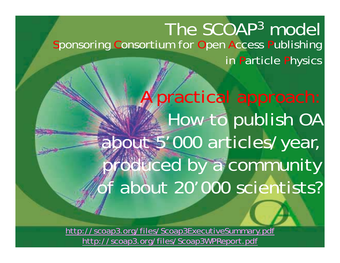#### The SCOAP3 model Sponsoring Consortium for Open Access Publishing in Particle Physics

A practical approach: How to publish OA about 5'000 articles/year, produced by a community f about 20'000 scientists?

<http://scoap3.org/files/Scoap3ExecutiveSummary.pdf> [http://scoap3.org/files/Scoap3WPReport.pdf](http://cern.ch/oa/Scoap3WPReport.pdf)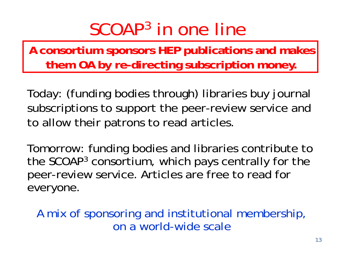## SCOAP3 in one line

**A consortium sponsors HEP publications and makes them OA by re-directing subscription money.**

Today: (funding bodies through) libraries buy journal subscriptions to support the peer-review service and to allow their patrons to read articles.

Tomorrow: funding bodies and libraries contribute to the SCOAP3 consortium, which pays centrally for the peer-review service. Articles are free to read for everyone.

A mix of sponsoring and institutional membership, on a world-wide scale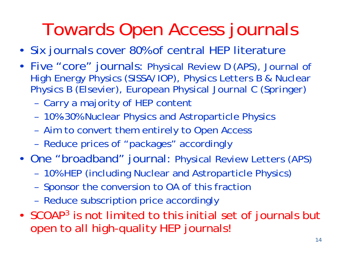# Towards Open Access journals

- Six journals cover 80% of central HEP literature
- Five "core" journals: *Physical Review D (APS), Journal of High Energy Physics (SISSA/IOP), Physics Letters B & Nuclear Physics B (Elsevier), European Physical Journal C (Springer)*
	- Carry a majority of HEP content
	- 10%-30% Nuclear Physics and Astroparticle Physics
	- Aim to convert them entirely to Open Access
	- Reduce prices of "packages" accordingly
- One "broadband" journal: *Physical Review Letters (APS)*
	- 10% HEP (including Nuclear and Astroparticle Physics)
	- Sponsor the conversion to OA of this fractior
	- Reduce subscription price accordingly
- SCOAP  $^3$  is not limited to this initial set of journals but open to all high-quality HEP journals!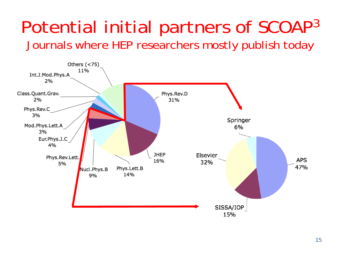#### Potential initial partners of SCOAP<sup>3</sup> Journals where HEP researchers mostly publish today

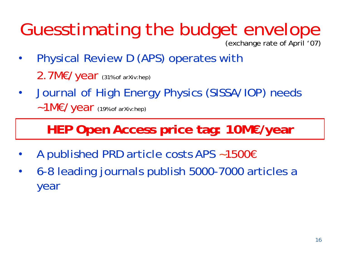# Guesstimating the budget envelope

(exchange rate of April '07)

- • *Physical Review D* (APS) operates with 2.7M€/year (31% of arXiv:hep)
- • *Journal of High Energy Physics* (SISSA/IOP) needs ~1M€/year (19% of arXiv:hep)

#### **HEP Open Access price tag: 10M€/year**

- •• A published PRD article costs APS ~1500€
- • 6-8 leading journals publish 5000-7000 articles a year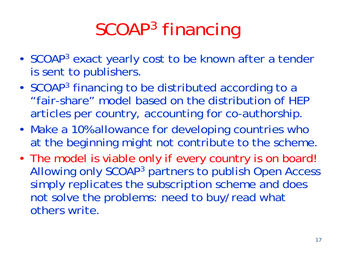# SCOAP3 financing

- •SCOAP<sup>3</sup> exact yearly cost to be known after a tender is sent to publishers.
- • SCOAP3 financing to be distributed according to a "fair-share" model based on the distribution of HEP articles per country, accounting for co-authorship.
- Make a 10% allowance for developing countries who at the beginning might not contribute to the scheme.
- The model is viable only if every country is on board! Allowing only SCOAP3 partners to publish Open Access simply replicates the subscription scheme and does not solve the problems: need to buy/read what others write.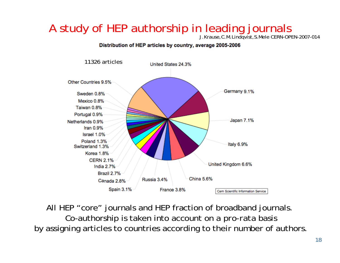#### A study of HEP authorship in leading journals

J.Krause,C.M.Lindqvist,S.Mele CERN-OPEN-2007-014

#### Distribution of HEP articles by country, average 2005-2006



All HEP "core" journals and HEP fraction of broadband journals. Co-authorship is taken into account on a *pro-rata* basis by assigning articles to countries according to their number of authors.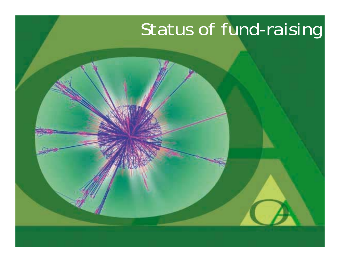# Status of fund-raising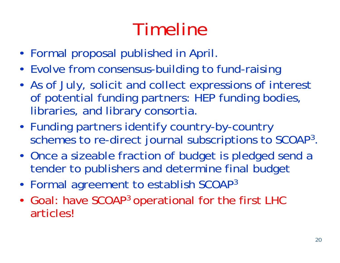# Timeline

- Formal proposal published in April.
- Evolve from consensus-building to fund-raising
- As of July, solicit and collect expressions of interest of potential funding partners: HEP funding bodies, libraries, and library consortia.
- Funding partners identify country-by-country schemes to re-direct journal subscriptions to SCOAP3.
- Once a sizeable fraction of budget is pledged send a tender to publishers and determine final budget
- •Formal agreement to establish SCOAP3
- •• Goal: have SCOAP<sup>3</sup> operational for the first LHC articles!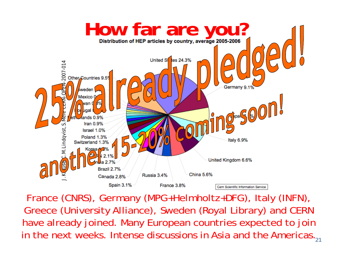

in the next weeks. Intense discussions in Asia and the Americas. $_2\cdot$ France (CNRS), Germany (MPG+Helmholtz+DFG), Italy (INFN), Greece (University Alliance), Sweden (Royal Library) and CERN have already joined. Many European countries expected to join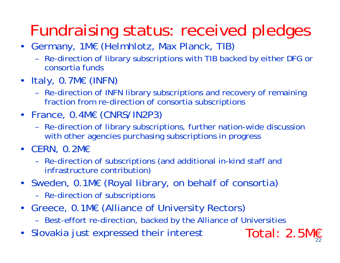## Fundraising status: received pledges

- Germany, 1M€ (Helmhlotz, Max Planck, TIB)
	- Re-direction of library subscriptions with TIB backed by either DFG or consortia funds
- Italy, 0.7M€ (INFN)
	- Re-direction of INFN library subscriptions and recovery of remaining fraction from re-direction of consortia subscriptions
- France, 0.4M€ (CNRS/IN2P3)
	- Re-direction of library subscriptions, further nation-wide discussion with other agencies purchasing subscriptions in progress
- CERN, 0.2M€
	- Re-direction of subscriptions (and additional in-kind staff and infrastructure contribution)
- Sweden, 0.1M€ (Royal library, on behalf of consortia)
	- Re-direction of subscriptions
- • Greece, 0.1M€ (Alliance of University Rectors)
	- Best-effort re-direction, backed by the Alliance of Universities

Total: 2.5M€

•Slovakia just expressed their interest Total: 2.5M€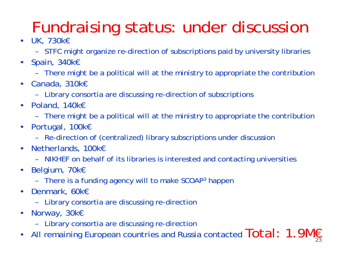## Fundraising status: under discussion

- UK, 730k€
	- STFC might organize re-direction of subscriptions paid by university libraries
- Spain, 340k€
	- There might be a political will at the ministry to appropriate the contribution
- Canada, 310k€
	- Library consortia are discussing re-direction of subscriptions
- Poland, 140k€
	- There might be a political will at the ministry to appropriate the contribution
- Portugal, 100k€
	- –Re-direction of (centralized) library subscriptions under discussion
- Netherlands, 100k€
	- NIKHEF on behalf of its libraries is interested and contacting universities
- Belgium, 70k€
	- There is a funding agency will to make SCOAP<sup>3</sup> happer
- Denmark, 60k€
	- Library consortia are discussing re-direction
- • Norway, 30k€
	- Library consortia are discussing re-direction
- All remaining European countries and Russia contacted  $\textsf{Total}: \textsf{ 1.9Mg}_{23}$ •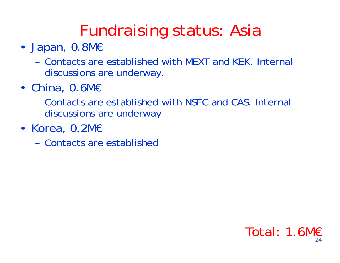### Fundraising status: Asia

- Japan, 0.8M€
	- Contacts are established with MEXT and KEK. Internal discussions are underway.
- China, 0.6M€
	- Contacts are established with NSFC and CAS. Internal discussions are underway
- Korea, 0.2M€
	- Contacts are established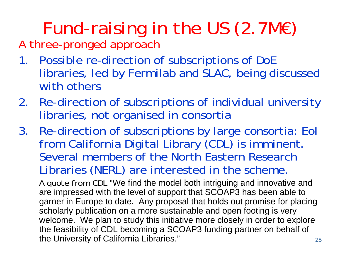# Fund-raising in the US (2.7M€)

A three-pronged approach

- 1. Possible re-direction of subscriptions of DoE libraries, led by Fermilab and SLAC, being discussed with others
- 2. Re-direction of subscriptions of individual university libraries, not organised in consortia
- 3. Re-direction of subscriptions by large consortia: EoI from California Digital Library (CDL) is imminent. Several members of the North Eastern Research Libraries (NERL) are interested in the scheme.

A quote from CDL "We find the model both intriguing and innovative and are impressed with the level of support that SCOAP3 has been able to garner in Europe to date. Any proposal that holds out promise for placing scholarly publication on a more sustainable and open footing is very welcome. We plan to study this initiative more closely in order to explore the feasibility of CDL becoming a SCOAP3 funding partner on behalf of the University of California Libraries."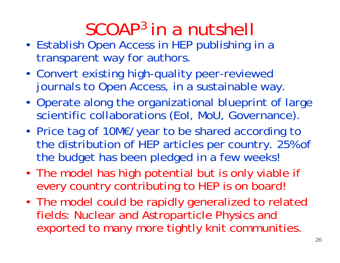## SCOAP3 in a nutshell

- Establish Open Access in HEP publishing in a transparent way for authors.
- Convert existing high-quality peer-reviewed journals to Open Access, in a sustainable way.
- Operate along the organizational blueprint of large scientific collaborations (EoI, MoU, Governance).
- • Price tag of 10M€/year to be shared according to the distribution of HEP articles per country. 25% of the budget has been pledged in a few weeks!
- The model has high potential but is only viable if every country contributing to HEP is on board!
- The model could be rapidly generalized to related fields: Nuclear and Astroparticle Physics and exported to many more tightly knit communities.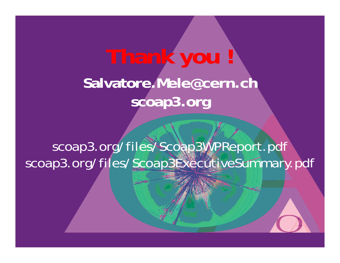# **Thank you ! Salvatore.Mele@cern.ch scoap3.org**

scoap3.org/files/Scoap3WPReport.pdf scoap3.org/files/Scoap3ExecutiveSummary.pdf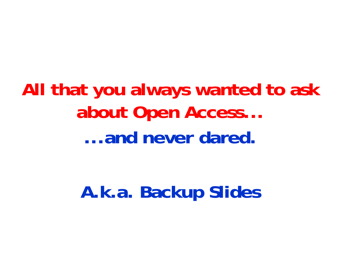**All that you always wanted to ask about Open Access... ...and never dared.**

**A.k.a. Backup Slides**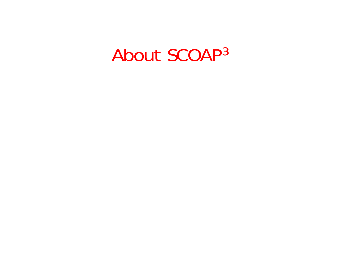#### About SCOAP 3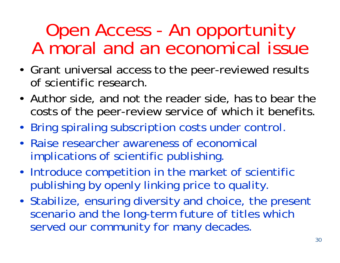### Open Access - An opportunity A moral and an economical issue

- Grant universal access to the peer-reviewed results of scientific research.
- Author side, and not the reader side, has to bear the costs of the peer-review service of which it benefits.
- Bring spiraling subscription costs under control.
- Raise researcher awareness of economical implications of scientific publishing.
- Introduce competition in the market of scientific publishing by openly linking price to quality.
- Stabilize, ensuring diversity and choice, the present scenario and the long-term future of titles which served our community for many decades.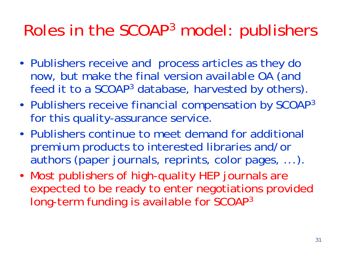#### Roles in the SCOAP <sup>3</sup> model: publishers

- Publishers receive and process articles as they do now, but make the final version available OA (and feed it to a SCOAP <sup>3</sup> database, harvested by others).
- Publishers receive financial compensation by SCOAP 3 for this quality-assurance service.
- Publishers continue to meet demand for additional *premium* products to interested libraries and/or authors (paper journals, reprints, color pages, ...).
- Most publishers of high-quality HEP journals are expected to be ready to enter negotiations provided long-term funding is available for SCOAP 3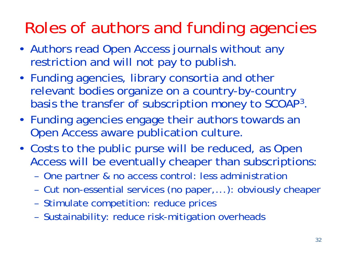### Roles of authors and funding agencies

- Authors read Open Access journals without any restriction and will not pay to publish.
- Funding agencies, library consortia and other relevant bodies organize on a country-by-country basis the transfer of subscription money to SCOAP<sup>3</sup>
- Funding agencies engage their authors towards an Open Access aware publication culture.
- Costs to the public purse will be reduced, as Open Access will be eventually cheaper than subscriptions:
	- One partner & no access control: less administratior
	- Cut non-essential services (no paper,...): obviously cheaper
	- Stimulate competition: reduce prices
	- Sustainability: reduce risk-mitigation overheads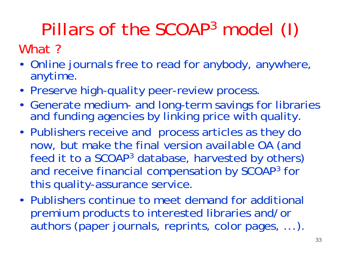#### Pillars of the SCOAP 3 model (I)

What ?

- Online journals free to read for anybody, anywhere, anytime.
- Preserve high-quality peer-review process
- Generate medium- and long-term savings for libraries and funding agencies by linking price with quality.
- Publishers receive and process articles as they do now, but make the final version available OA (and feed it to a SCOAP <sup>3</sup> database, harvested by others) and receive financial compensation by SCOAP<sup>3</sup> for this quality-assurance service.
- Publishers continue to meet demand for additional *premium* products to interested libraries and/or authors (paper journals, reprints, color pages, ...).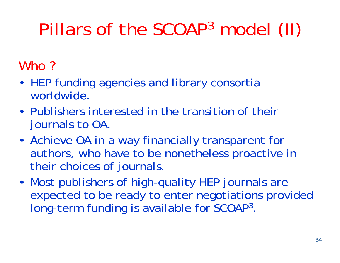#### Pillars of the SCOAP 3 model (II)

#### Who?

- HEP funding agencies and library consortia worldwide.
- Publishers interested in the transition of their journals to OA.
- Achieve OA in a way financially transparent for authors, who have to be nonetheless proactive in their choices of journals.
- Most publishers of high-quality HEP journals are expected to be ready to enter negotiations provided long-term funding is available for SCOAP<sup>3</sup>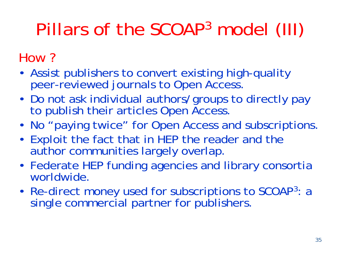#### Pillars of the SCOAP 3 model (III)

#### How ?

- Assist publishers to convert existing high-quality peer-reviewed journals to Open Access.
- •• Do not ask individual authors/groups to directly pay to publish their articles Open Access.
- No "paying twice" for Open Access and subscriptions.
- Exploit the fact that in HEP the reader and the author communities largely overlap.
- Federate HEP funding agencies and library consortia worldwide.
- Re-direct money used for subscriptions to SCOAP3: a single commercial partner for publishers.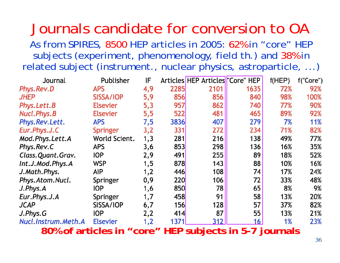#### Journals candidate for conversion to OA

As from SPIRES, 8500 HEP articles in 2005: 62% in "core" HEP subjects (experiment, phenomenology, field th.) and 38% in related subject (instrument., nuclear physics, astroparticle, ...)

| Journal                                                             | Publisher       | IF  |      | Articles HEP Articles "Core" HEP |      | f(HEP) | f("Core") |
|---------------------------------------------------------------------|-----------------|-----|------|----------------------------------|------|--------|-----------|
| Phys.Rev.D                                                          | <b>APS</b>      | 4,9 | 2285 | 2101                             | 1635 | 72%    | 92%       |
| <b>JHEP</b>                                                         | SISSA/IOP       | 5,9 | 856  | 856                              | 840  | 98%    | 100%      |
| Phys. Lett. B                                                       | <b>Elsevier</b> | 5,3 | 957  | 862                              | 740  | 77%    | 90%       |
| Nucl.Phys.B                                                         | <b>Elsevier</b> | 5,5 | 522  | 481                              | 465  | 89%    | 92%       |
| Phys.Rev.Lett.                                                      | <b>APS</b>      | 7,5 | 3836 | 407                              | 279  | 7%     | 11%       |
| Eur.Phys.J.C                                                        | <b>Springer</b> | 3,2 | 331  | 272                              | 234  | 71%    | 82%       |
| Mod.Phys.Lett.A                                                     | World Scient.   | 1,3 | 281  | 216                              | 138  | 49%    | 77%       |
| Phys.Rev.C                                                          | <b>APS</b>      | 3,6 | 853  | 298                              | 136  | 16%    | 35%       |
| Class.Quant.Grav.                                                   | <b>IOP</b>      | 2,9 | 491  | 255                              | 89   | 18%    | 52%       |
| Int.J.Mod.Phys.A                                                    | <b>WSP</b>      | 1,5 | 878  | 143                              | 88   | 10%    | 16%       |
| J.Math.Phys.                                                        | AIP             | 1,2 | 446  | 108                              | 74   | 17%    | 24%       |
| Phys.Atom.Nucl.                                                     | <b>Springer</b> | 0,9 | 220  | 106                              | 72   | 33%    | 48%       |
| J.Phys.A                                                            | <b>IOP</b>      | 1,6 | 850  | 78                               | 65   | 8%     | 9%        |
| Eur.Phys.J.A                                                        | Springer        | 1,7 | 458  | 91                               | 58   | 13%    | 20%       |
| <b>JCAP</b>                                                         | SISSA/IOP       | 6,7 | 156  | 128                              | 57   | 37%    | 82%       |
| J.Phys.G                                                            | <b>IOP</b>      | 2,2 | 414  | 87                               | 55   | 13%    | 21%       |
| Nucl.Instrum.Meth.A                                                 | <b>Elsevier</b> | 1,2 | 1371 | 312                              | 16   | 1%     | 23%       |
| <b>HED</b><br>subjacts in 5.7 journals<br>80% of articles in "core" |                 |     |      |                                  |      |        |           |

**80% of articles in "core" HEP subjects in 5-7 journals**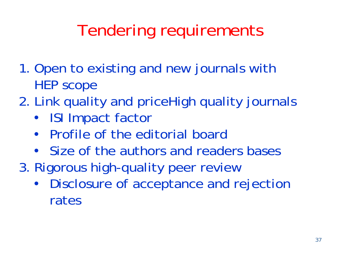## Tendering requirements

- 1. Open to existing and new journals with HEP scope
- 2. Link quality and priceHigh quality journals
	- ISI Impact factor
	- $\bullet$ Profile of the editorial board
	- Size of the authors and readers bases
- 3. Rigorous high-quality peer review
	- $\bullet$  Disclosure of acceptance and rejection rates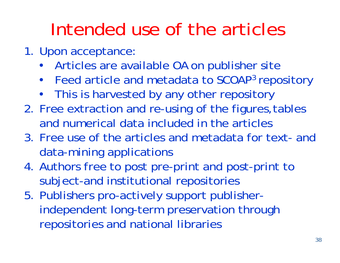## Intended use of the articles

- 1. Upon acceptance:
	- Articles are available OA on publisher site
	- •Feed article and metadata to SCOAP3 repository
	- This is harvested by any other repository
- 2. Free extraction and re-using of the figures,tables and numerical data included in the articles
- 3. Free use of the articles and metadata for text- and data-mining applications
- 4. Authors free to post pre-print and post-print to subject-and institutional repositories
- 5. Publishers pro-actively support publisherindependent long-term preservation through repositories and national libraries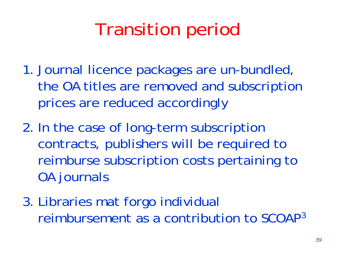## Transition period

- 1. Journal licence packages are un-bundled, the OA titles are removed and subscription prices are reduced accordingly
- 2. In the case of long-term subscription contracts, publishers will be required to reimburse subscription costs pertaining to OA journals
- 3. Libraries mat forgo individual reimbursement as a contribution to SCOAP 3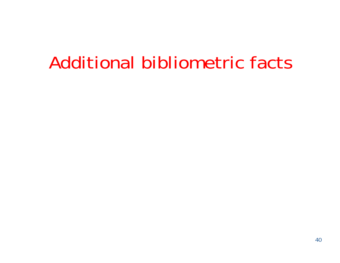## Additional bibliometric facts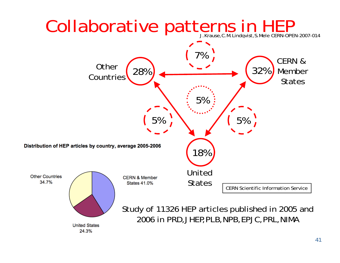